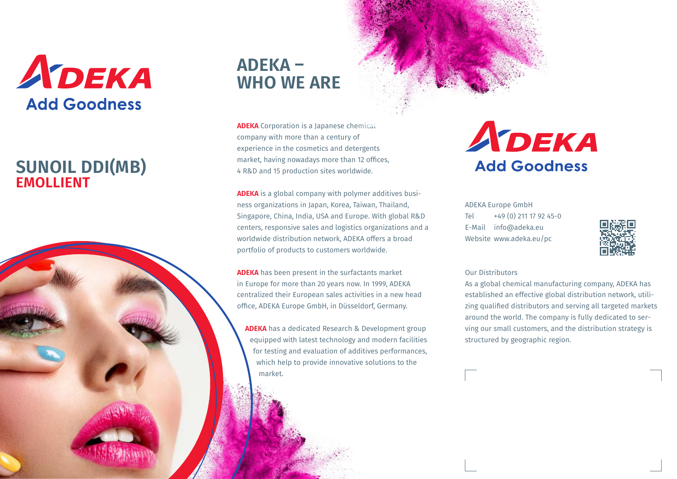

## **EMOLLIENT SUNOIL DDI(MB)**



**ADEKA** Corporation is a Japanese chemical company with more than a century of experience in the cosmetics and detergents market, having nowadays more than 12 offices, 4 R&D and 15 production sites worldwide.

**ADEKA** is a global company with polymer additives business organizations in Japan, Korea, Taiwan, Thailand, Singapore, China, India, USA and Europe. With global R&D centers, responsive sales and logistics organizations and a worldwide distribution network, ADEKA offers a broad portfolio of products to customers worldwide.

**ADEKA** has been present in the surfactants market in Europe for more than 20 years now. In 1999, ADEKA centralized their European sales activities in a new head office, ADEKA Europe GmbH, in Düsseldorf, Germany.

**ADEKA** has a dedicated Research & Development group equipped with latest technology and modern facilities for testing and evaluation of additives performances, which help to provide innovative solutions to the market.

# ADEKA **Add Goodness**

ADEKA Europe GmbH Tel  $+49(0)$  211 17 92 45-0 E-Mail info@adeka.eu Website www.adeka.eu/pc



#### Our Distributors

As a global chemical manufacturing company, ADEKA has established an effective global distribution network, utilizing qualified distributors and serving all targeted markets around the world. The company is fully dedicated to serving our small customers, and the distribution strategy is structured by geographic region.